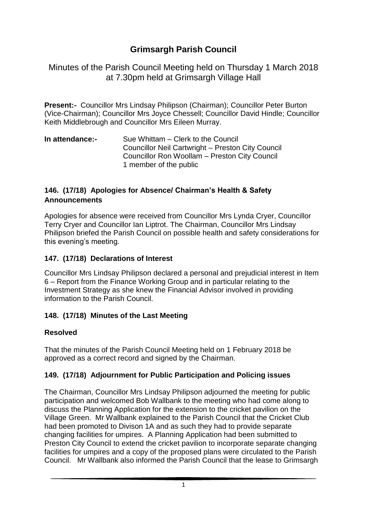# **Grimsargh Parish Council**

Minutes of the Parish Council Meeting held on Thursday 1 March 2018 at 7.30pm held at Grimsargh Village Hall

**Present:-** Councillor Mrs Lindsay Philipson (Chairman); Councillor Peter Burton (Vice-Chairman); Councillor Mrs Joyce Chessell; Councillor David Hindle; Councillor Keith Middlebrough and Councillor Mrs Eileen Murray.

| In attendance:- | Sue Whittam – Clerk to the Council                |
|-----------------|---------------------------------------------------|
|                 | Councillor Neil Cartwright - Preston City Council |
|                 | Councillor Ron Woollam – Preston City Council     |
|                 | 1 member of the public                            |

### **146. (17/18) Apologies for Absence/ Chairman's Health & Safety Announcements**

Apologies for absence were received from Councillor Mrs Lynda Cryer, Councillor Terry Cryer and Councillor Ian Liptrot. The Chairman, Councillor Mrs Lindsay Philipson briefed the Parish Council on possible health and safety considerations for this evening's meeting.

### **147. (17/18) Declarations of Interest**

Councillor Mrs Lindsay Philipson declared a personal and prejudicial interest in Item 6 – Report from the Finance Working Group and in particular relating to the Investment Strategy as she knew the Financial Advisor involved in providing information to the Parish Council.

# **148. (17/18) Minutes of the Last Meeting**

#### **Resolved**

That the minutes of the Parish Council Meeting held on 1 February 2018 be approved as a correct record and signed by the Chairman.

# **149. (17/18) Adjournment for Public Participation and Policing issues**

The Chairman, Councillor Mrs Lindsay Philipson adjourned the meeting for public participation and welcomed Bob Wallbank to the meeting who had come along to discuss the Planning Application for the extension to the cricket pavilion on the Village Green. Mr Wallbank explained to the Parish Council that the Cricket Club had been promoted to Divison 1A and as such they had to provide separate changing facilities for umpires. A Planning Application had been submitted to Preston City Council to extend the cricket pavilion to incorporate separate changing facilities for umpires and a copy of the proposed plans were circulated to the Parish Council. Mr Wallbank also informed the Parish Council that the lease to Grimsargh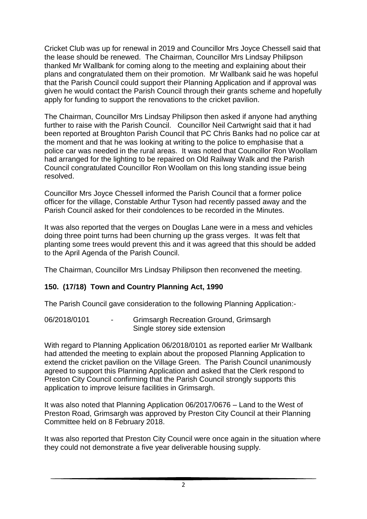Cricket Club was up for renewal in 2019 and Councillor Mrs Joyce Chessell said that the lease should be renewed. The Chairman, Councillor Mrs Lindsay Philipson thanked Mr Wallbank for coming along to the meeting and explaining about their plans and congratulated them on their promotion. Mr Wallbank said he was hopeful that the Parish Council could support their Planning Application and if approval was given he would contact the Parish Council through their grants scheme and hopefully apply for funding to support the renovations to the cricket pavilion.

The Chairman, Councillor Mrs Lindsay Philipson then asked if anyone had anything further to raise with the Parish Council. Councillor Neil Cartwright said that it had been reported at Broughton Parish Council that PC Chris Banks had no police car at the moment and that he was looking at writing to the police to emphasise that a police car was needed in the rural areas. It was noted that Councillor Ron Woollam had arranged for the lighting to be repaired on Old Railway Walk and the Parish Council congratulated Councillor Ron Woollam on this long standing issue being resolved.

Councillor Mrs Joyce Chessell informed the Parish Council that a former police officer for the village, Constable Arthur Tyson had recently passed away and the Parish Council asked for their condolences to be recorded in the Minutes.

It was also reported that the verges on Douglas Lane were in a mess and vehicles doing three point turns had been churning up the grass verges. It was felt that planting some trees would prevent this and it was agreed that this should be added to the April Agenda of the Parish Council.

The Chairman, Councillor Mrs Lindsay Philipson then reconvened the meeting.

#### **150. (17/18) Town and Country Planning Act, 1990**

The Parish Council gave consideration to the following Planning Application:-

06/2018/0101 - Grimsargh Recreation Ground, Grimsargh Single storey side extension

With regard to Planning Application 06/2018/0101 as reported earlier Mr Wallbank had attended the meeting to explain about the proposed Planning Application to extend the cricket pavilion on the Village Green. The Parish Council unanimously agreed to support this Planning Application and asked that the Clerk respond to Preston City Council confirming that the Parish Council strongly supports this application to improve leisure facilities in Grimsargh.

It was also noted that Planning Application 06/2017/0676 – Land to the West of Preston Road, Grimsargh was approved by Preston City Council at their Planning Committee held on 8 February 2018.

It was also reported that Preston City Council were once again in the situation where they could not demonstrate a five year deliverable housing supply.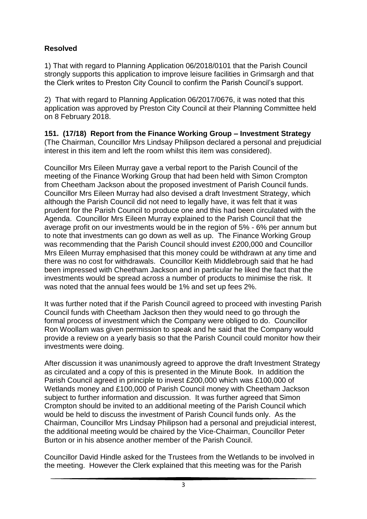# **Resolved**

1) That with regard to Planning Application 06/2018/0101 that the Parish Council strongly supports this application to improve leisure facilities in Grimsargh and that the Clerk writes to Preston City Council to confirm the Parish Council's support.

2) That with regard to Planning Application 06/2017/0676, it was noted that this application was approved by Preston City Council at their Planning Committee held on 8 February 2018.

**151. (17/18) Report from the Finance Working Group – Investment Strategy** (The Chairman, Councillor Mrs Lindsay Philipson declared a personal and prejudicial interest in this item and left the room whilst this item was considered).

Councillor Mrs Eileen Murray gave a verbal report to the Parish Council of the meeting of the Finance Working Group that had been held with Simon Crompton from Cheetham Jackson about the proposed investment of Parish Council funds. Councillor Mrs Eileen Murray had also devised a draft Investment Strategy, which although the Parish Council did not need to legally have, it was felt that it was prudent for the Parish Council to produce one and this had been circulated with the Agenda. Councillor Mrs Eileen Murray explained to the Parish Council that the average profit on our investments would be in the region of 5% - 6% per annum but to note that investments can go down as well as up. The Finance Working Group was recommending that the Parish Council should invest £200,000 and Councillor Mrs Eileen Murray emphasised that this money could be withdrawn at any time and there was no cost for withdrawals. Councillor Keith Middlebrough said that he had been impressed with Cheetham Jackson and in particular he liked the fact that the investments would be spread across a number of products to minimise the risk. It was noted that the annual fees would be 1% and set up fees 2%.

It was further noted that if the Parish Council agreed to proceed with investing Parish Council funds with Cheetham Jackson then they would need to go through the formal process of investment which the Company were obliged to do. Councillor Ron Woollam was given permission to speak and he said that the Company would provide a review on a yearly basis so that the Parish Council could monitor how their investments were doing.

After discussion it was unanimously agreed to approve the draft Investment Strategy as circulated and a copy of this is presented in the Minute Book. In addition the Parish Council agreed in principle to invest £200,000 which was £100,000 of Wetlands money and £100,000 of Parish Council money with Cheetham Jackson subject to further information and discussion. It was further agreed that Simon Crompton should be invited to an additional meeting of the Parish Council which would be held to discuss the investment of Parish Council funds only. As the Chairman, Councillor Mrs Lindsay Philipson had a personal and prejudicial interest, the additional meeting would be chaired by the Vice-Chairman, Councillor Peter Burton or in his absence another member of the Parish Council.

Councillor David Hindle asked for the Trustees from the Wetlands to be involved in the meeting. However the Clerk explained that this meeting was for the Parish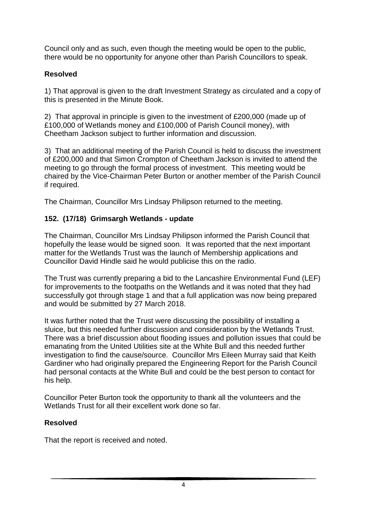Council only and as such, even though the meeting would be open to the public, there would be no opportunity for anyone other than Parish Councillors to speak.

### **Resolved**

1) That approval is given to the draft Investment Strategy as circulated and a copy of this is presented in the Minute Book.

2) That approval in principle is given to the investment of £200,000 (made up of £100,000 of Wetlands money and £100,000 of Parish Council money), with Cheetham Jackson subject to further information and discussion.

3) That an additional meeting of the Parish Council is held to discuss the investment of £200,000 and that Simon Crompton of Cheetham Jackson is invited to attend the meeting to go through the formal process of investment. This meeting would be chaired by the Vice-Chairman Peter Burton or another member of the Parish Council if required.

The Chairman, Councillor Mrs Lindsay Philipson returned to the meeting.

# **152. (17/18) Grimsargh Wetlands - update**

The Chairman, Councillor Mrs Lindsay Philipson informed the Parish Council that hopefully the lease would be signed soon. It was reported that the next important matter for the Wetlands Trust was the launch of Membership applications and Councillor David Hindle said he would publicise this on the radio.

The Trust was currently preparing a bid to the Lancashire Environmental Fund (LEF) for improvements to the footpaths on the Wetlands and it was noted that they had successfully got through stage 1 and that a full application was now being prepared and would be submitted by 27 March 2018.

It was further noted that the Trust were discussing the possibility of installing a sluice, but this needed further discussion and consideration by the Wetlands Trust. There was a brief discussion about flooding issues and pollution issues that could be emanating from the United Utilities site at the White Bull and this needed further investigation to find the cause/source. Councillor Mrs Eileen Murray said that Keith Gardiner who had originally prepared the Engineering Report for the Parish Council had personal contacts at the White Bull and could be the best person to contact for his help.

Councillor Peter Burton took the opportunity to thank all the volunteers and the Wetlands Trust for all their excellent work done so far.

#### **Resolved**

That the report is received and noted.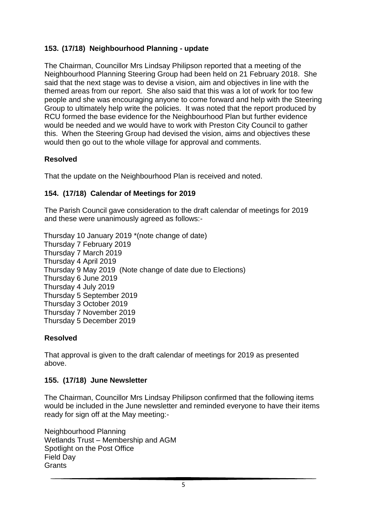### **153. (17/18) Neighbourhood Planning - update**

The Chairman, Councillor Mrs Lindsay Philipson reported that a meeting of the Neighbourhood Planning Steering Group had been held on 21 February 2018. She said that the next stage was to devise a vision, aim and objectives in line with the themed areas from our report. She also said that this was a lot of work for too few people and she was encouraging anyone to come forward and help with the Steering Group to ultimately help write the policies. It was noted that the report produced by RCU formed the base evidence for the Neighbourhood Plan but further evidence would be needed and we would have to work with Preston City Council to gather this. When the Steering Group had devised the vision, aims and objectives these would then go out to the whole village for approval and comments.

#### **Resolved**

That the update on the Neighbourhood Plan is received and noted.

#### **154. (17/18) Calendar of Meetings for 2019**

The Parish Council gave consideration to the draft calendar of meetings for 2019 and these were unanimously agreed as follows:-

Thursday 10 January 2019 \*(note change of date) Thursday 7 February 2019 Thursday 7 March 2019 Thursday 4 April 2019 Thursday 9 May 2019 (Note change of date due to Elections) Thursday 6 June 2019 Thursday 4 July 2019 Thursday 5 September 2019 Thursday 3 October 2019 Thursday 7 November 2019 Thursday 5 December 2019

#### **Resolved**

That approval is given to the draft calendar of meetings for 2019 as presented above.

#### **155. (17/18) June Newsletter**

The Chairman, Councillor Mrs Lindsay Philipson confirmed that the following items would be included in the June newsletter and reminded everyone to have their items ready for sign off at the May meeting:-

Neighbourhood Planning Wetlands Trust – Membership and AGM Spotlight on the Post Office Field Day **Grants**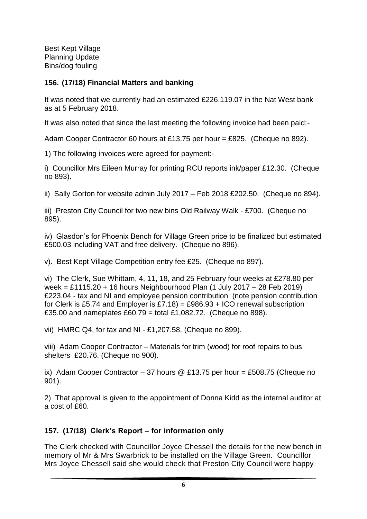Best Kept Village Planning Update Bins/dog fouling

#### **156. (17/18) Financial Matters and banking**

It was noted that we currently had an estimated £226,119.07 in the Nat West bank as at 5 February 2018.

It was also noted that since the last meeting the following invoice had been paid:-

Adam Cooper Contractor 60 hours at £13.75 per hour = £825. (Cheque no 892).

1) The following invoices were agreed for payment:-

i) Councillor Mrs Eileen Murray for printing RCU reports ink/paper £12.30. (Cheque no 893).

ii) Sally Gorton for website admin July 2017 – Feb 2018 £202.50. (Cheque no 894).

iii) Preston City Council for two new bins Old Railway Walk - £700. (Cheque no 895).

iv) Glasdon's for Phoenix Bench for Village Green price to be finalized but estimated £500.03 including VAT and free delivery. (Cheque no 896).

v). Best Kept Village Competition entry fee £25. (Cheque no 897).

vi) The Clerk, Sue Whittam, 4, 11, 18, and 25 February four weeks at £278.80 per week = £1115.20 + 16 hours Neighbourhood Plan (1 July 2017 – 28 Feb 2019) £223.04 - tax and NI and employee pension contribution (note pension contribution for Clerk is £5.74 and Employer is £7.18) = £986.93 + ICO renewal subscription £35.00 and nameplates £60.79 = total £1,082.72. (Cheque no 898).

vii) HMRC Q4, for tax and NI - £1,207.58. (Cheque no 899).

viii) Adam Cooper Contractor – Materials for trim (wood) for roof repairs to bus shelters £20.76. (Cheque no 900).

ix) Adam Cooper Contractor – 37 hours  $\textcircled{2}$  £13.75 per hour = £508.75 (Cheque no 901).

2) That approval is given to the appointment of Donna Kidd as the internal auditor at a cost of £60.

# **157. (17/18) Clerk's Report – for information only**

The Clerk checked with Councillor Joyce Chessell the details for the new bench in memory of Mr & Mrs Swarbrick to be installed on the Village Green. Councillor Mrs Joyce Chessell said she would check that Preston City Council were happy